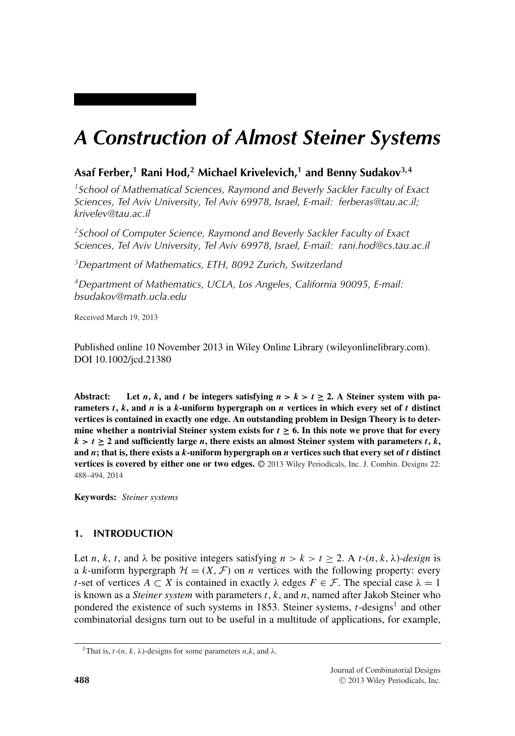# *A Construction of Almost Steiner Systems*

## **Asaf Ferber,<sup>1</sup> Rani Hod,<sup>2</sup> Michael Krivelevich,<sup>1</sup> and Benny Sudakov3,4**

*1School of Mathematical Sciences, Raymond and Beverly Sackler Faculty of Exact Sciences, Tel Aviv University, Tel Aviv 69978, Israel, E-mail: ferberas@tau.ac.il; krivelev@tau.ac.il*

*2School of Computer Science, Raymond and Beverly Sackler Faculty of Exact Sciences, Tel Aviv University, Tel Aviv 69978, Israel, E-mail: rani.hod@cs.tau.ac.il*

*3Department of Mathematics, ETH, 8092 Zurich, Switzerland*

*4Department of Mathematics, UCLA, Los Angeles, California 90095, E-mail: bsudakov@math.ucla.edu*

Received March 19, 2013

Published online 10 November 2013 in Wiley Online Library (wileyonlinelibrary.com). DOI 10.1002/jcd.21380

Abstract: Let *n*, *k*, and *t* be integers satisfying  $n > k > t \geq 2$ . A Steiner system with pa**rameters** *t***,** *k***, and** *n* **is a** *k***-uniform hypergraph on** *n* **vertices in which every set of** *t* **distinct vertices is contained in exactly one edge. An outstanding problem in Design Theory is to deter**mine whether a nontrivial Steiner system exists for  $t \geq 6$ . In this note we prove that for every  $k > t \geq 2$  and sufficiently large *n*, there exists an almost Steiner system with parameters *t*, *k*, **and** *n***; that is, there exists a** *k***-uniform hypergraph on** *n* **vertices such that every set of** *t* **distinct vertices is covered by either one or two edges.**  $\oslash$  2013 Wiley Periodicals, Inc. J. Combin. Designs 22: 488–494, 2014

**Keywords:** *Steiner systems*

### **1. INTRODUCTION**

Let *n*, *k*, *t*, and  $\lambda$  be positive integers satisfying  $n > k > t \ge 2$ . A *t*-(*n*, *k*,  $\lambda$ )*-design* is a k-uniform hypergraph  $\mathcal{H} = (X, \mathcal{F})$  on *n* vertices with the following property: every t-set of vertices  $A \subset X$  is contained in exactly  $\lambda$  edges  $F \in \mathcal{F}$ . The special case  $\lambda = 1$ is known as a *Steiner system* with parameters t, k, and n, named after Jakob Steiner who pondered the existence of such systems in 1853. Steiner systems,  $t$ -designs<sup>1</sup> and other combinatorial designs turn out to be useful in a multitude of applications, for example,

<sup>&</sup>lt;sup>1</sup>That is, *t*-(*n*, *k*,  $\lambda$ )-designs for some parameters *n*,*k*, and  $\lambda$ .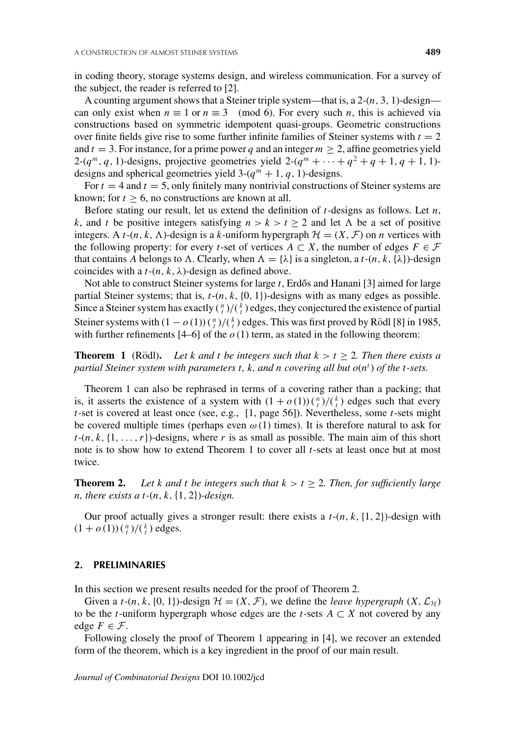in coding theory, storage systems design, and wireless communication. For a survey of the subject, the reader is referred to [2].

A counting argument shows that a Steiner triple system—that is, a  $2-(n, 3, 1)$ -design can only exist when  $n \equiv 1$  or  $n \equiv 3 \pmod{6}$ . For every such n, this is achieved via constructions based on symmetric idempotent quasi-groups. Geometric constructions over finite fields give rise to some further infinite families of Steiner systems with  $t = 2$ and  $t = 3$ . For instance, for a prime power q and an integer  $m > 2$ , affine geometries yield 2- $(q^m, q, 1)$ -designs, projective geometries yield 2- $(q^m + \cdots + q^2 + q + 1, q + 1, 1)$ designs and spherical geometries yield  $3-(q^m + 1, q, 1)$ -designs.

For  $t = 4$  and  $t = 5$ , only finitely many nontrivial constructions of Steiner systems are known; for  $t \geq 6$ , no constructions are known at all.

Before stating our result, let us extend the definition of  $t$ -designs as follows. Let  $n$ , k, and t be positive integers satisfying  $n > k > t \ge 2$  and let  $\Lambda$  be a set of positive integers. A t- $(n, k, \Lambda)$ -design is a k-uniform hypergraph  $\mathcal{H} = (X, \mathcal{F})$  on *n* vertices with the following property: for every t-set of vertices  $A \subset X$ , the number of edges  $F \in \mathcal{F}$ that contains A belongs to  $\Lambda$ . Clearly, when  $\Lambda = {\lambda}$  is a singleton, a t-(n, k, { $\lambda$ })-design coincides with a  $t-(n, k, \lambda)$ -design as defined above.

Not able to construct Steiner systems for large  $t$ , Erdős and Hanani [3] aimed for large partial Steiner systems; that is,  $t-(n, k, \{0, 1\})$ -designs with as many edges as possible. Since a Steiner system has exactly  $\binom{n}{t}/\binom{k}{t}$  edges, they conjectured the existence of partial Steiner systems with  $(1 - o(1))\binom{n}{t}/\binom{k}{t}$  edges. This was first proved by Rödl [8] in 1985, with further refinements  $[4-6]$  of the  $o(1)$  term, as stated in the following theorem:

**Theorem 1** (Rödl). Let k and t be integers such that  $k > t \geq 2$ . Then there exists a *partial Steiner system with parameters t, k, and n covering all but*  $o(n^t)$  *of the t-sets.* 

Theorem 1 can also be rephrased in terms of a covering rather than a packing; that is, it asserts the existence of a system with  $(1 + o(1))\binom{n}{t}/\binom{k}{t}$  edges such that every  $t$ -set is covered at least once (see, e.g., [1, page 56]). Nevertheless, some  $t$ -sets might be covered multiple times (perhaps even  $\omega(1)$  times). It is therefore natural to ask for  $t-(n, k, \{1, \ldots, r\})$ -designs, where r is as small as possible. The main aim of this short note is to show how to extend Theorem 1 to cover all  $t$ -sets at least once but at most twice.

**Theorem 2.** Let k and t be integers such that  $k > t \ge 2$ . Then, for sufficiently large *n*, there exists a t- $(n, k, \{1, 2\})$ -design.

Our proof actually gives a stronger result: there exists a  $t-(n, k, \{1, 2\})$ -design with  $(1+o(1))\binom{n}{t}/\binom{k}{t}$  edges.

#### **2. PRELIMINARIES**

In this section we present results needed for the proof of Theorem 2.

Given a *t*-(*n*, *k*, {0, 1})-design  $\mathcal{H} = (X, \mathcal{F})$ , we define the *leave hypergraph*  $(X, \mathcal{L}_{\mathcal{H}})$ to be the t-uniform hypergraph whose edges are the t-sets  $A \subset X$  not covered by any edge  $F \in \mathcal{F}$ .

Following closely the proof of Theorem 1 appearing in [4], we recover an extended form of the theorem, which is a key ingredient in the proof of our main result.

*Journal of Combinatorial Designs* DOI 10.1002/jcd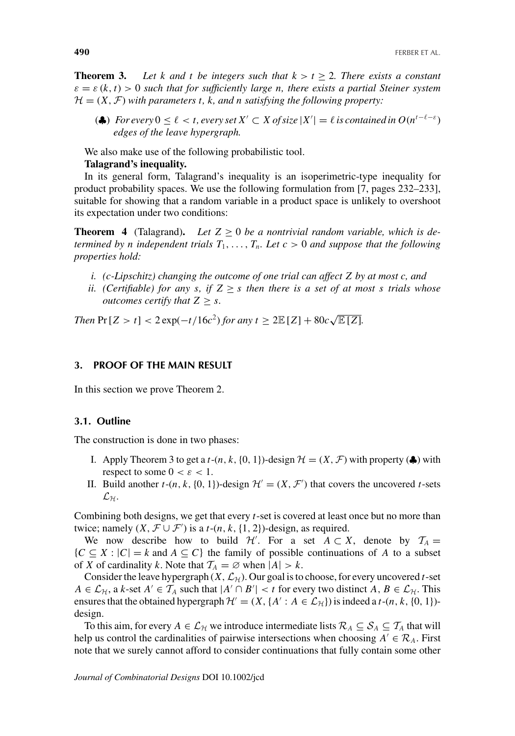**Theorem 3.** Let k and t be integers such that  $k > t > 2$ . There exists a constant  $\varepsilon = \varepsilon (k,t) > 0$  *such that for sufficiently large n, there exists a partial Steiner system*  $\mathcal{H} = (X, \mathcal{F})$  *with parameters t, k, and n satisfying the following property:* 

(▲) *For every*  $0 \le \ell < t$ , every set  $X' \subset X$  of size  $|X'| = \ell$  is contained in  $O(n^{t-\ell-\epsilon})$ *edges of the leave hypergraph.*

We also make use of the following probabilistic tool. **Talagrand's inequality.**

In its general form, Talagrand's inequality is an isoperimetric-type inequality for product probability spaces. We use the following formulation from [7, pages 232–233], suitable for showing that a random variable in a product space is unlikely to overshoot its expectation under two conditions:

**Theorem 4** (Talagrand). Let  $Z > 0$  be a nontrivial random variable, which is de*termined by n independent trials*  $T_1, \ldots, T_n$ *. Let*  $c > 0$  *and suppose that the following properties hold:*

- *i. (*c*-Lipschitz) changing the outcome of one trial can affect* Z *by at most* c*, and*
- *ii.* (Certifiable) for any s, if  $Z \geq s$  then there is a set of at most s trials whose *outcomes certify that*  $Z \geq s$ *.*

*Then*  $Pr[Z > t] < 2 exp(-t/16c^2)$  *for any*  $t \ge 2E[Z] + 80c\sqrt{E[Z]}$ *.* 

#### **3. PROOF OF THE MAIN RESULT**

In this section we prove Theorem 2.

#### **3.1. Outline**

The construction is done in two phases:

- I. Apply Theorem 3 to get a  $t$ - $(n, k, \{0, 1\})$ -design  $\mathcal{H} = (X, \mathcal{F})$  with property ( $\clubsuit$ ) with respect to some  $0 < \varepsilon < 1$ .
- II. Build another  $t$ - $(n, k, \{0, 1\})$ -design  $\mathcal{H}' = (X, \mathcal{F}')$  that covers the uncovered  $t$ -sets  $\mathcal{L}_\mathcal{H}$ .

Combining both designs, we get that every  $t$ -set is covered at least once but no more than twice; namely  $(X, \mathcal{F} \cup \mathcal{F}')$  is a *t*- $(n, k, \{1, 2\})$ -design, as required.

We now describe how to build *H'*. For a set  $A \subset X$ , denote by  $T_A =$  $\{C \subseteq X : |C| = k \text{ and } A \subseteq C\}$  the family of possible continuations of A to a subset of *X* of cardinality *k*. Note that  $T_A = \emptyset$  when  $|A| > k$ .

Consider the leave hypergraph  $(X, \mathcal{L}_{\mathcal{H}})$ . Our goal is to choose, for every uncovered *t*-set  $A \in \mathcal{L}_{\mathcal{H}}$ , a k-set  $A' \in \mathcal{T}_A$  such that  $|A' \cap B'| < t$  for every two distinct  $A, B \in \mathcal{L}_{\mathcal{H}}$ . This ensures that the obtained hypergraph  $\mathcal{H}' = (X, \{A' : A \in \mathcal{L}_{\mathcal{H}}\})$  is indeed a t-(n, k, {0, 1})design.

To this aim, for every  $A \in \mathcal{L}_{\mathcal{H}}$  we introduce intermediate lists  $\mathcal{R}_A \subseteq \mathcal{S}_A \subseteq \mathcal{T}_A$  that will help us control the cardinalities of pairwise intersections when choosing  $A' \in \mathcal{R}_A$ . First note that we surely cannot afford to consider continuations that fully contain some other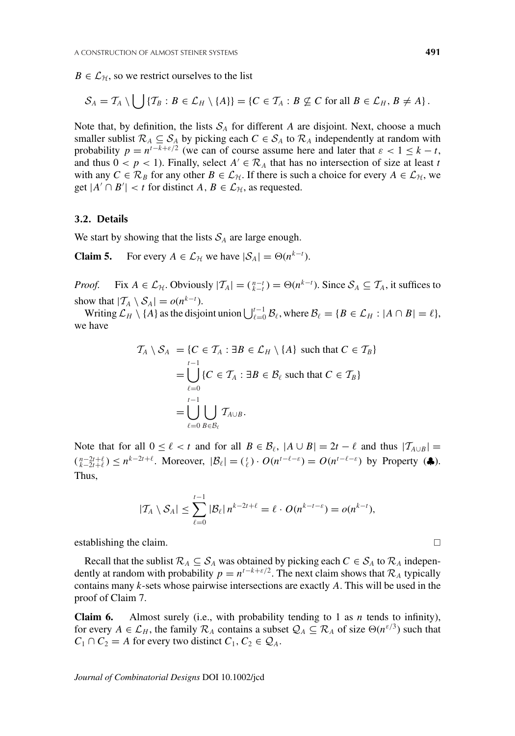$B \in \mathcal{L}_{\mathcal{H}}$ , so we restrict ourselves to the list

$$
\mathcal{S}_A = \mathcal{T}_A \setminus \bigcup \{ \mathcal{T}_B : B \in \mathcal{L}_H \setminus \{A\} \} = \{ C \in \mathcal{T}_A : B \nsubseteq C \text{ for all } B \in \mathcal{L}_H, B \neq A \}.
$$

Note that, by definition, the lists  $S_A$  for different A are disjoint. Next, choose a much smaller sublist  $\mathcal{R}_A \subseteq \mathcal{S}_A$  by picking each  $C \in \mathcal{S}_A$  to  $\mathcal{R}_A$  independently at random with probability  $p = n^{t-k+\epsilon/2}$  (we can of course assume here and later that  $\epsilon < 1 \leq k - t$ , and thus  $0 < p < 1$ ). Finally, select  $A' \in \mathcal{R}_A$  that has no intersection of size at least t with any  $C \in \mathcal{R}_B$  for any other  $B \in \mathcal{L}_{\mathcal{H}}$ . If there is such a choice for every  $A \in \mathcal{L}_{\mathcal{H}}$ , we get  $|A' \cap B'| < t$  for distinct  $A, B \in \mathcal{L}_{\mathcal{H}}$ , as requested.

#### **3.2. Details**

We start by showing that the lists  $S_A$  are large enough.

**Claim 5.** For every  $A \in \mathcal{L}_{\mathcal{H}}$  we have  $|\mathcal{S}_A| = \Theta(n^{k-t})$ .

*Proof.* Fix  $A \in \mathcal{L}_{\mathcal{H}}$ . Obviously  $|\mathcal{T}_A| = \binom{n-t}{k-t} = \Theta(n^{k-t})$ . Since  $\mathcal{S}_A \subseteq \mathcal{T}_A$ , it suffices to show that  $|T_A \setminus S_A| = o(n^{k-t}).$ 

Writing  $\mathcal{L}_H \setminus \{A\}$  as the disjoint union  $\bigcup_{\ell=0}^{t-1} \mathcal{B}_\ell$ , where  $\mathcal{B}_\ell = \{B \in \mathcal{L}_H : |A \cap B| = \ell\},$ we have

$$
\mathcal{T}_A \setminus \mathcal{S}_A = \{C \in \mathcal{T}_A : \exists B \in \mathcal{L}_H \setminus \{A\} \text{ such that } C \in \mathcal{T}_B\}
$$
  
= 
$$
\bigcup_{\ell=0}^{t-1} \{C \in \mathcal{T}_A : \exists B \in \mathcal{B}_\ell \text{ such that } C \in \mathcal{T}_B\}
$$
  
= 
$$
\bigcup_{\ell=0}^{t-1} \bigcup_{B \in \mathcal{B}_\ell} \mathcal{T}_{A \cup B}.
$$

Note that for all  $0 \leq \ell < t$  and for all  $B \in \mathcal{B}_{\ell}$ ,  $|A \cup B| = 2t - \ell$  and thus  $|T_{A \cup B}| =$  $\binom{n-2t+\ell}{k-2t+\ell}$  ≤  $n^{k-2t+\ell}$ . Moreover,  $|\mathcal{B}_{\ell}| = \binom{t}{\ell} \cdot O(n^{t-\ell-\epsilon}) = O(n^{t-\ell-\epsilon})$  by Property (♦). Thus,

$$
|T_A \setminus \mathcal{S}_A| \leq \sum_{\ell=0}^{t-1} |\mathcal{B}_\ell| n^{k-2t+\ell} = \ell \cdot O(n^{k-t-\epsilon}) = o(n^{k-t}),
$$

establishing the claim.

Recall that the sublist  $\mathcal{R}_A \subseteq \mathcal{S}_A$  was obtained by picking each  $C \in \mathcal{S}_A$  to  $\mathcal{R}_A$  independently at random with probability  $p = n^{t-k+\epsilon/2}$ . The next claim shows that  $\mathcal{R}_A$  typically contains many  $k$ -sets whose pairwise intersections are exactly  $A$ . This will be used in the proof of Claim 7.

**Claim 6.** Almost surely (i.e., with probability tending to 1 as *n* tends to infinity), for every  $A \in \mathcal{L}_H$ , the family  $\mathcal{R}_A$  contains a subset  $\mathcal{Q}_A \subseteq \mathcal{R}_A$  of size  $\Theta(n^{\epsilon/3})$  such that  $C_1 \cap C_2 = A$  for every two distinct  $C_1, C_2 \in \mathcal{Q}_A$ .

*Journal of Combinatorial Designs* DOI 10.1002/jcd

 $\Box$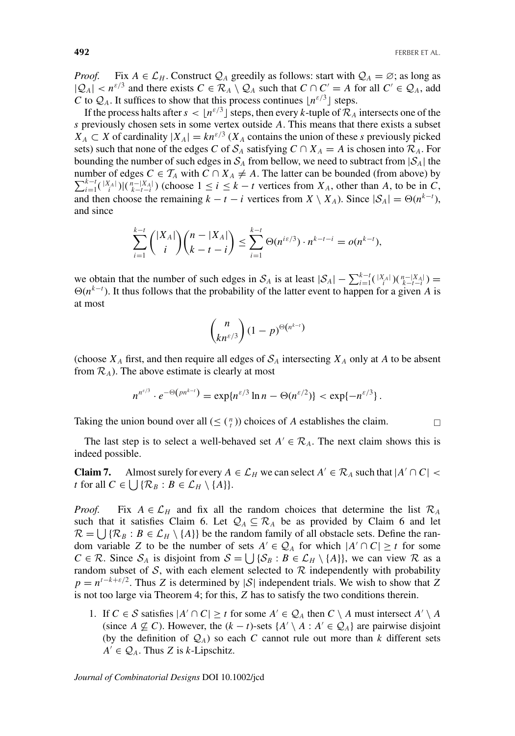*Proof.* Fix  $A \in \mathcal{L}_H$ . Construct  $\mathcal{Q}_A$  greedily as follows: start with  $\mathcal{Q}_A = \emptyset$ ; as long as  $|Q_A| < n^{\epsilon/3}$  and there exists  $C \in \mathcal{R}_A \setminus Q_A$  such that  $C \cap C' = A$  for all  $C' \in Q_A$ , add C to  $\mathcal{Q}_A$ . It suffices to show that this process continues  $\lfloor n^{3/3} \rfloor$  steps.

If the process halts after  $s < [n^{\varepsilon/3}]$  steps, then every k-tuple of  $\mathcal{R}_A$  intersects one of the s previously chosen sets in some vertex outside A. This means that there exists a subset  $X_A \subset X$  of cardinality  $|X_A| = kn^{\epsilon/3}$  ( $X_A$  contains the union of these s previously picked sets) such that none of the edges C of  $S_A$  satisfying  $C \cap X_A = A$  is chosen into  $\mathcal{R}_A$ . For bounding the number of such edges in  $S_A$  from bellow, we need to subtract from  $|S_A|$  the number of edges  $C \in \mathcal{T}_A$  with  $C \cap X_A \neq A$ . The latter can be bounded (from above) by  $\sum_{k=t}^{k-t}$  ([X<sub>4</sub>]) ( $n-$ [X<sub>4</sub>]) (obocca]  $\leq i \leq k-t$  vertices from  $X$  other than A<sub>n</sub> to be in  $C$  $\sum_{i=1}^{k-t}$  $\binom{|X_A|}{i}$  $\left|\binom{n-|X_A|}{k-t-i}\right|$  (choose  $1 \le i \le k-t$  vertices from  $X_A$ , other than A, to be in C, and then choose the remaining  $k - t - i$  vertices from  $X \setminus X_A$ ). Since  $|S_A| = \Theta(n^{k-t}),$ and since

$$
\sum_{i=1}^{k-t} \binom{|X_A|}{i} \binom{n-|X_A|}{k-t-i} \le \sum_{i=1}^{k-t} \Theta(n^{i\epsilon/3}) \cdot n^{k-t-i} = o(n^{k-t}),
$$

we obtain that the number of such edges in  $S_A$  is at least  $|S_A| - \sum_{i=1}^{k-t} (\binom{|X_A|}{i} \binom{n-|X_A|}{k-t-i} =$  $\Theta(n^{k-t})$ . It thus follows that the probability of the latter event to happen for a given A is at most

$$
\binom{n}{kn^{\varepsilon/3}}(1-p)^{\Theta(n^{k-t})}
$$

(choose  $X_A$  first, and then require all edges of  $S_A$  intersecting  $X_A$  only at A to be absent from  $\mathcal{R}_A$ ). The above estimate is clearly at most

$$
n^{n^{\varepsilon/3}}\cdot e^{-\Theta\left(pn^{k-1}\right)}=\exp\{n^{\varepsilon/3}\ln n-\Theta(n^{\varepsilon/2})\}<\exp\{-n^{\varepsilon/3}\}\,.
$$

Taking the union bound over all  $(\leq \binom{n}{t})$  choices of A establishes the claim.

The last step is to select a well-behaved set  $A' \in \mathcal{R}_A$ . The next claim shows this is indeed possible.

**Claim 7.** Almost surely for every  $A \in \mathcal{L}_H$  we can select  $A' \in \mathcal{R}_A$  such that  $|A' \cap C|$  < t for all  $C \in \bigcup \{ \mathcal{R}_B : B \in \mathcal{L}_H \setminus \{A\} \}.$ 

*Proof.* Fix  $A \in \mathcal{L}_H$  and fix all the random choices that determine the list  $\mathcal{R}_A$ such that it satisfies Claim 6. Let  $\mathcal{Q}_A \subseteq \mathcal{R}_A$  be as provided by Claim 6 and let  $\mathcal{R} = \bigcup \{ \mathcal{R}_B : B \in \mathcal{L}_H \setminus \{A\} \}$  be the random family of all obstacle sets. Define the random variable Z to be the number of sets  $A' \in \mathcal{Q}_A$  for which  $|A' \cap C| \ge t$  for some *C* ∈ *R*. Since *S<sub>A</sub>* is disjoint from *S* =  $\bigcup \{S_B : B \in \mathcal{L}_H \setminus \{A\}\}\)$ , we can view *R* as a random subset of  $S$ , with each element selected to  $R$  independently with probability  $p = n^{t-k+\epsilon/2}$ . Thus Z is determined by |S| independent trials. We wish to show that Z is not too large via Theorem 4; for this, Z has to satisfy the two conditions therein.

1. If  $C \in S$  satisfies  $|A' \cap C| \ge t$  for some  $A' \in \mathcal{Q}_A$  then  $C \setminus A$  must intersect  $A' \setminus A$ (since  $A \nsubseteq C$ ). However, the  $(k - t)$ -sets  $\{A' \setminus A : A' \in \mathcal{Q}_A\}$  are pairwise disjoint (by the definition of  $\mathcal{Q}_A$ ) so each C cannot rule out more than k different sets  $A' \in \mathcal{Q}_A$ . Thus Z is k-Lipschitz.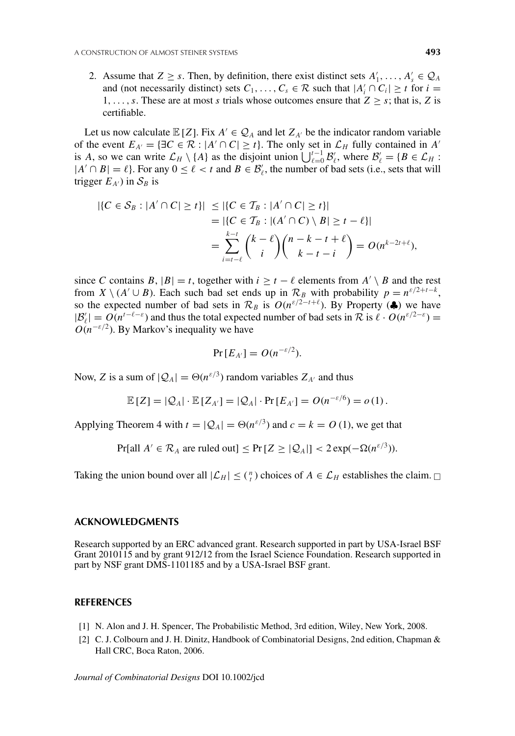2. Assume that  $Z \geq s$ . Then, by definition, there exist distinct sets  $A'_1, \ldots, A'_s \in \mathcal{Q}_A$ and (not necessarily distinct) sets  $C_1, \ldots, C_s \in \mathcal{R}$  such that  $|A'_i \cap C_i| \geq t$  for  $i =$ 1,..., s. These are at most s trials whose outcomes ensure that  $Z > s$ ; that is, Z is certifiable.

Let us now calculate  $\mathbb{E}[Z]$ . Fix  $A' \in \mathcal{Q}_A$  and let  $Z_{A'}$  be the indicator random variable of the event  $E_{A'} = \{\exists C \in \mathcal{R} : |A' \cap C| \ge t\}$ . The only set in  $\mathcal{L}_H$  fully contained in A' is A, so we can write  $\mathcal{L}_H \setminus \{A\}$  as the disjoint union  $\bigcup_{\ell=0}^{t-1} \mathcal{B}'_{\ell}$ , where  $\mathcal{B}'_{\ell} = \{B \in \mathcal{L}_H:$  $|A' \cap B| = \ell$ . For any  $0 \le \ell < t$  and  $B \in B'_\ell$ , the number of bad sets (i.e., sets that will trigger  $E_{A'}$ ) in  $S_B$  is

$$
|\{C \in \mathcal{S}_B : |A' \cap C| \ge t\}| \le |\{C \in \mathcal{T}_B : |A' \cap C| \ge t\}|
$$
  
= |\{C \in \mathcal{T}\_B : |(A' \cap C) \setminus B| \ge t - \ell\}|  
= \sum\_{i=t-\ell}^{k-t} {k-\ell \choose i} {n-k-t+\ell \choose k-t-i} = O(n^{k-2t+\ell}),

since C contains B,  $|B| = t$ , together with  $i \ge t - \ell$  elements from  $A' \setminus B$  and the rest from  $X \setminus (A' \cup B)$ . Each such bad set ends up in  $\mathcal{R}_B$  with probability  $p = n^{\epsilon/2+t-k}$ , so the expected number of bad sets in  $\mathcal{R}_B$  is  $O(n^{\varepsilon/2-t+\ell})$ . By Property ( $\clubsuit$ ) we have  $|B'_\ell| = O(n^{t-\ell-\epsilon})$  and thus the total expected number of bad sets in  $\mathcal R$  is  $\ell \cdot O(n^{\epsilon/2-\epsilon}) =$  $O(n^{-\epsilon/2})$ . By Markov's inequality we have

$$
\Pr\left[E_{A'}\right] = O(n^{-\varepsilon/2}).
$$

Now, Z is a sum of  $|Q_A| = \Theta(n^{\epsilon/3})$  random variables  $Z_{A'}$  and thus

$$
\mathbb{E}[Z] = |Q_A| \cdot \mathbb{E}[Z_{A'}] = |Q_A| \cdot \Pr[E_{A'}] = O(n^{-\varepsilon/6}) = o(1).
$$

Applying Theorem 4 with  $t = |Q_A| = \Theta(n^{\epsilon/3})$  and  $c = k = O(1)$ , we get that

Pr[all  $A' \in \mathcal{R}_A$  are ruled out]  $\leq \Pr[Z \geq |\mathcal{Q}_A|] < 2 \exp(-\Omega(n^{\varepsilon/3}))$ .

Taking the union bound over all  $|\mathcal{L}_H| \leq {n \choose t}$  choices of  $A \in \mathcal{L}_H$  establishes the claim.  $\Box$ 

#### **ACKNOWLEDGMENTS**

Research supported by an ERC advanced grant. Research supported in part by USA-Israel BSF Grant 2010115 and by grant 912/12 from the Israel Science Foundation. Research supported in part by NSF grant DMS-1101185 and by a USA-Israel BSF grant.

#### **REFERENCES**

- [1] N. Alon and J. H. Spencer, The Probabilistic Method, 3rd edition, Wiley, New York, 2008.
- [2] C. J. Colbourn and J. H. Dinitz, Handbook of Combinatorial Designs, 2nd edition, Chapman & Hall CRC, Boca Raton, 2006.